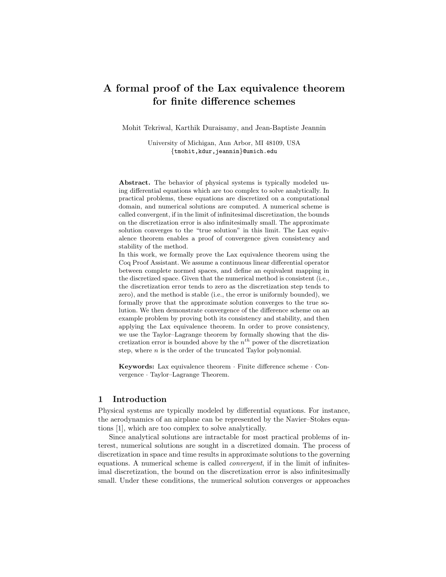Mohit Tekriwal, Karthik Duraisamy, and Jean-Baptiste Jeannin

University of Michigan, Ann Arbor, MI 48109, USA {tmohit,kdur,jeannin}@umich.edu

Abstract. The behavior of physical systems is typically modeled using differential equations which are too complex to solve analytically. In practical problems, these equations are discretized on a computational domain, and numerical solutions are computed. A numerical scheme is called convergent, if in the limit of infinitesimal discretization, the bounds on the discretization error is also infinitesimally small. The approximate solution converges to the "true solution" in this limit. The Lax equivalence theorem enables a proof of convergence given consistency and stability of the method.

In this work, we formally prove the Lax equivalence theorem using the Coq Proof Assistant. We assume a continuous linear differential operator between complete normed spaces, and define an equivalent mapping in the discretized space. Given that the numerical method is consistent (i.e., the discretization error tends to zero as the discretization step tends to zero), and the method is stable (i.e., the error is uniformly bounded), we formally prove that the approximate solution converges to the true solution. We then demonstrate convergence of the difference scheme on an example problem by proving both its consistency and stability, and then applying the Lax equivalence theorem. In order to prove consistency, we use the Taylor–Lagrange theorem by formally showing that the discretization error is bounded above by the  $n^{th}$  power of the discretization step, where  $n$  is the order of the truncated Taylor polynomial.

Keywords: Lax equivalence theorem · Finite difference scheme · Convergence · Taylor–Lagrange Theorem.

### 1 Introduction

Physical systems are typically modeled by differential equations. For instance, the aerodynamics of an airplane can be represented by the Navier–Stokes equations [1], which are too complex to solve analytically.

Since analytical solutions are intractable for most practical problems of interest, numerical solutions are sought in a discretized domain. The process of discretization in space and time results in approximate solutions to the governing equations. A numerical scheme is called convergent, if in the limit of infinitesimal discretization, the bound on the discretization error is also infinitesimally small. Under these conditions, the numerical solution converges or approaches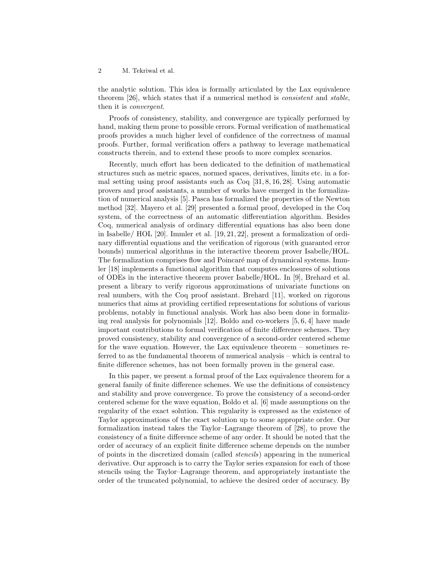the analytic solution. This idea is formally articulated by the Lax equivalence theorem [26], which states that if a numerical method is consistent and stable, then it is convergent.

Proofs of consistency, stability, and convergence are typically performed by hand, making them prone to possible errors. Formal verification of mathematical proofs provides a much higher level of confidence of the correctness of manual proofs. Further, formal verification offers a pathway to leverage mathematical constructs therein, and to extend these proofs to more complex scenarios.

Recently, much effort has been dedicated to the definition of mathematical structures such as metric spaces, normed spaces, derivatives, limits etc. in a formal setting using proof assistants such as Coq [31, 8, 16, 28]. Using automatic provers and proof assistants, a number of works have emerged in the formalization of numerical analysis [5]. Pasca has formalized the properties of the Newton method [32]. Mayero et al. [29] presented a formal proof, developed in the Coq system, of the correctness of an automatic differentiation algorithm. Besides Coq, numerical analysis of ordinary differential equations has also been done in Isabelle/ HOL [20]. Immler et al. [19, 21, 22], present a formalization of ordinary differential equations and the verification of rigorous (with guaranted error bounds) numerical algorithms in the interactive theorem prover Isabelle/HOL. The formalization comprises flow and Poincaré map of dynamical systems. Immler [18] implements a functional algorithm that computes enclosures of solutions of ODEs in the interactive theorem prover Isabelle/HOL. In [9], Brehard et al. present a library to verify rigorous approximations of univariate functions on real numbers, with the Coq proof assistant. Brehard [11], worked on rigorous numerics that aims at providing certified representations for solutions of various problems, notably in functional analysis. Work has also been done in formalizing real analysis for polynomials [12]. Boldo and co-workers [5, 6, 4] have made important contributions to formal verification of finite difference schemes. They proved consistency, stability and convergence of a second-order centered scheme for the wave equation. However, the Lax equivalence theorem – sometimes referred to as the fundamental theorem of numerical analysis – which is central to finite difference schemes, has not been formally proven in the general case.

In this paper, we present a formal proof of the Lax equivalence theorem for a general family of finite difference schemes. We use the definitions of consistency and stability and prove convergence. To prove the consistency of a second-order centered scheme for the wave equation, Boldo et al. [6] made assumptions on the regularity of the exact solution. This regularity is expressed as the existence of Taylor approximations of the exact solution up to some appropriate order. Our formalization instead takes the Taylor–Lagrange theorem of [28], to prove the consistency of a finite difference scheme of any order. It should be noted that the order of accuracy of an explicit finite difference scheme depends on the number of points in the discretized domain (called stencils) appearing in the numerical derivative. Our approach is to carry the Taylor series expansion for each of those stencils using the Taylor–Lagrange theorem, and appropriately instantiate the order of the truncated polynomial, to achieve the desired order of accuracy. By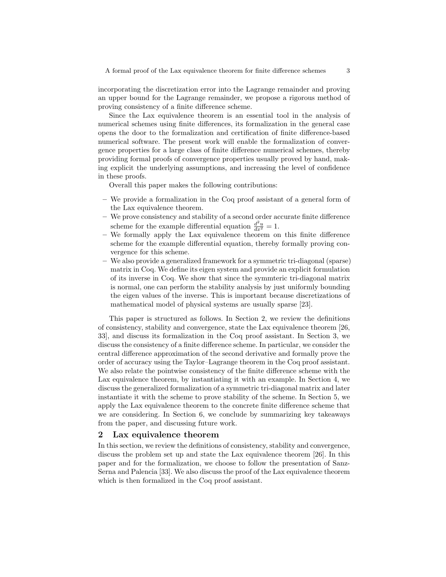incorporating the discretization error into the Lagrange remainder and proving an upper bound for the Lagrange remainder, we propose a rigorous method of proving consistency of a finite difference scheme.

Since the Lax equivalence theorem is an essential tool in the analysis of numerical schemes using finite differences, its formalization in the general case opens the door to the formalization and certification of finite difference-based numerical software. The present work will enable the formalization of convergence properties for a large class of finite difference numerical schemes, thereby providing formal proofs of convergence properties usually proved by hand, making explicit the underlying assumptions, and increasing the level of confidence in these proofs.

Overall this paper makes the following contributions:

- We provide a formalization in the Coq proof assistant of a general form of the Lax equivalence theorem.
- We prove consistency and stability of a second order accurate finite difference scheme for the example differential equation  $\frac{d^2u}{dx^2} = 1$ .
- We formally apply the Lax equivalence theorem on this finite difference scheme for the example differential equation, thereby formally proving convergence for this scheme.
- We also provide a generalized framework for a symmetric tri-diagonal (sparse) matrix in Coq. We define its eigen system and provide an explicit formulation of its inverse in Coq. We show that since the symmteric tri-diagonal matrix is normal, one can perform the stability analysis by just uniformly bounding the eigen values of the inverse. This is important because discretizations of mathematical model of physical systems are usually sparse [23].

This paper is structured as follows. In Section 2, we review the definitions of consistency, stability and convergence, state the Lax equivalence theorem [26, 33], and discuss its formalization in the Coq proof assistant. In Section 3, we discuss the consistency of a finite difference scheme. In particular, we consider the central difference approximation of the second derivative and formally prove the order of accuracy using the Taylor–Lagrange theorem in the Coq proof assistant. We also relate the pointwise consistency of the finite difference scheme with the Lax equivalence theorem, by instantiating it with an example. In Section 4, we discuss the generalized formalization of a symmetric tri-diagonal matrix and later instantiate it with the scheme to prove stability of the scheme. In Section 5, we apply the Lax equivalence theorem to the concrete finite difference scheme that we are considering. In Section 6, we conclude by summarizing key takeaways from the paper, and discussing future work.

#### 2 Lax equivalence theorem

In this section, we review the definitions of consistency, stability and convergence, discuss the problem set up and state the Lax equivalence theorem [26]. In this paper and for the formalization, we choose to follow the presentation of Sanz-Serna and Palencia [33]. We also discuss the proof of the Lax equivalence theorem which is then formalized in the Coq proof assistant.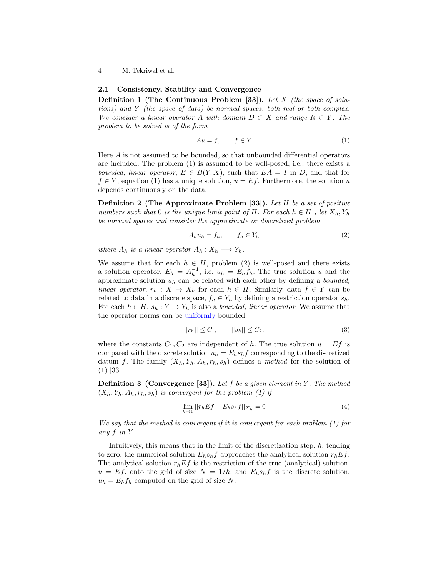### 2.1 Consistency, Stability and Convergence

**Definition 1 (The Continuous Problem [33]).** Let  $X$  (the space of solutions) and Y (the space of data) be normed spaces, both real or both complex. We consider a linear operator A with domain  $D \subset X$  and range  $R \subset Y$ . The problem to be solved is of the form

$$
Au = f, \qquad f \in Y \tag{1}
$$

Here A is not assumed to be bounded, so that unbounded differential operators are included. The problem (1) is assumed to be well-posed, i.e., there exists a bounded, linear operator,  $E \in B(Y, X)$ , such that  $EA = I$  in D, and that for  $f \in Y$ , equation (1) has a unique solution,  $u = Ef$ . Furthermore, the solution u depends continuously on the data.

**Definition 2** (The Approximate Problem [33]). Let H be a set of positive numbers such that 0 is the unique limit point of H. For each  $h \in H$ , let  $X_h, Y_h$ be normed spaces and consider the approximate or discretized problem

$$
A_h u_h = f_h, \qquad f_h \in Y_h \tag{2}
$$

where  $A_h$  is a linear operator  $A_h: X_h \longrightarrow Y_h$ .

We assume that for each  $h \in H$ , problem (2) is well-posed and there exists a solution operator,  $E_h = A_h^{-1}$ , i.e.  $u_h = E_h f_h$ . The true solution u and the approximate solution  $u_h$  can be related with each other by defining a *bounded*, linear operator,  $r_h: X \to X_h$  for each  $h \in H$ . Similarly, data  $f \in Y$  can be related to data in a discrete space,  $f_h \in Y_h$  by defining a restriction operator  $s_h$ . For each  $h \in H$ ,  $s_h : Y \to Y_h$  is also a *bounded, linear operator*. We assume that the operator norms can be uniformly bounded:

$$
||r_h|| \le C_1, \qquad ||s_h|| \le C_2,\tag{3}
$$

where the constants  $C_1, C_2$  are independent of h. The true solution  $u = Ef$  is compared with the discrete solution  $u_h = E_h s_h f$  corresponding to the discretized datum f. The family  $(X_h, Y_h, A_h, r_h, s_h)$  defines a method for the solution of (1) [33].

**Definition 3 (Convergence [33]).** Let f be a given element in Y. The method  $(X_h, Y_h, A_h, r_h, s_h)$  is convergent for the problem (1) if

$$
\lim_{h \to 0} ||r_h E f - E_h s_h f||_{X_h} = 0
$$
\n(4)

We say that the method is convergent if it is convergent for each problem (1) for any  $f$  in  $Y$ .

Intuitively, this means that in the limit of the discretization step,  $h$ , tending to zero, the numerical solution  $E_h s_h f$  approaches the analytical solution  $r_h Ef$ . The analytical solution  $r_h Ef$  is the restriction of the true (analytical) solution,  $u = Ef$ , onto the grid of size  $N = 1/h$ , and  $E_h s_h f$  is the discrete solution,  $u_h = E_h f_h$  computed on the grid of size N.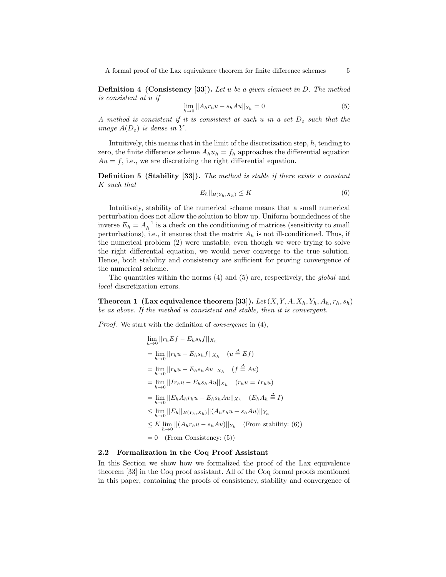**Definition 4 (Consistency [33]).** Let u be a given element in D. The method is consistent at u if

$$
\lim_{h \to 0} ||A_h r_h u - s_h A u||_{Y_h} = 0
$$
\n(5)

A method is consistent if it is consistent at each u in a set  $D<sub>o</sub>$  such that the image  $A(D_o)$  is dense in Y.

Intuitively, this means that in the limit of the discretization step,  $h$ , tending to zero, the finite difference scheme  $A_h u_h = f_h$  approaches the differential equation  $Au = f$ , i.e., we are discretizing the right differential equation.

Definition 5 (Stability [33]). The method is stable if there exists a constant K such that

$$
||E_h||_{B(Y_h, X_h)} \le K \tag{6}
$$

Intuitively, stability of the numerical scheme means that a small numerical perturbation does not allow the solution to blow up. Uniform boundedness of the inverse  $E_h = A_h^{-1}$  is a check on the conditioning of matrices (sensitivity to small perturbations), i.e., it ensures that the matrix  $A_h$  is not ill-conditioned. Thus, if the numerical problem (2) were unstable, even though we were trying to solve the right differential equation, we would never converge to the true solution. Hence, both stability and consistency are sufficient for proving convergence of the numerical scheme.

The quantities within the norms  $(4)$  and  $(5)$  are, respectively, the *global* and local discretization errors.

Theorem 1 (Lax equivalence theorem [33]). Let  $(X, Y, A, X_h, Y_h, A_h, r_h, s_h)$ be as above. If the method is consistent and stable, then it is convergent.

Proof. We start with the definition of convergence in (4),

$$
\lim_{h \to 0} ||r_h E f - E_h s_h f||_{X_h}
$$
\n
$$
= \lim_{h \to 0} ||r_h u - E_h s_h f||_{X_h} \quad (u \stackrel{\Delta}{=} Ef)
$$
\n
$$
= \lim_{h \to 0} ||r_h u - E_h s_h A u||_{X_h} \quad (f \stackrel{\Delta}{=} Au)
$$
\n
$$
= \lim_{h \to 0} ||I r_h u - E_h s_h A u||_{X_h} \quad (r_h u = I r_h u)
$$
\n
$$
= \lim_{h \to 0} ||E_h A_h r_h u - E_h s_h A u||_{X_h} \quad (E_h A_h \stackrel{\Delta}{=} I)
$$
\n
$$
\leq \lim_{h \to 0} ||E_h||_{B(Y_h, X_h)} ||(A_h r_h u - s_h A u)||_{Y_h}
$$
\n
$$
\leq K \lim_{h \to 0} ||(A_h r_h u - s_h A u)||_{Y_h} \quad \text{(From stability: (6))}
$$
\n
$$
= 0 \quad \text{(From Consistency: (5))}
$$

# 2.2 Formalization in the Coq Proof Assistant

In this Section we show how we formalized the proof of the Lax equivalence theorem [33] in the Coq proof assistant. All of the Coq formal proofs mentioned in this paper, containing the proofs of consistency, stability and convergence of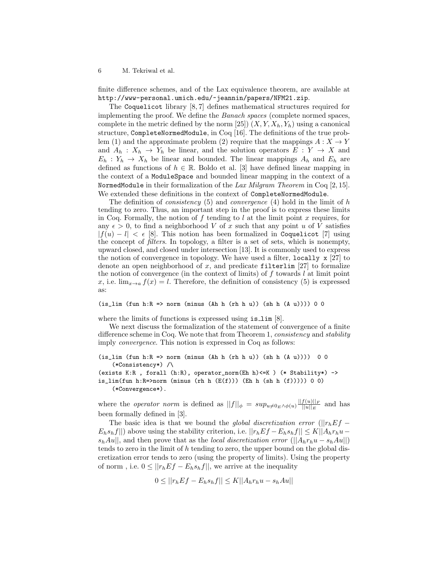finite difference schemes, and of the Lax equivalence theorem, are available at http://www-personal.umich.edu/~jeannin/papers/NFM21.zip.

The Coquelicot library [8, 7] defines mathematical structures required for implementing the proof. We define the Banach spaces (complete normed spaces, complete in the metric defined by the norm [25])  $(X, Y, X_h, Y_h)$  using a canonical structure, CompleteNormedModule, in Coq [16]. The definitions of the true problem (1) and the approximate problem (2) require that the mappings  $A: X \to Y$ and  $A_h: X_h \to Y_h$  be linear, and the solution operators  $E: Y \to X$  and  $E_h: Y_h \to X_h$  be linear and bounded. The linear mappings  $A_h$  and  $E_h$  are defined as functions of  $h \in \mathbb{R}$ . Boldo et al. [3] have defined linear mapping in the context of a ModuleSpace and bounded linear mapping in the context of a NormedModule in their formalization of the Lax Milgram Theorem in Coq  $[2, 15]$ . We extended these definitions in the context of CompleteNormedModule.

The definition of *consistency* (5) and *convergence* (4) hold in the limit of h tending to zero. Thus, an important step in the proof is to express these limits in Coq. Formally, the notion of  $f$  tending to  $l$  at the limit point  $x$  requires, for any  $\epsilon > 0$ , to find a neighborhood V of x such that any point u of V satisfies  $|f(u) - l| < \epsilon$  [8]. This notion has been formalized in Coquelicot [7] using the concept of filters. In topology, a filter is a set of sets, which is nonempty, upward closed, and closed under intersection [13]. It is commonly used to express the notion of convergence in topology. We have used a filter, locally x [27] to denote an open neighborhood of  $x$ , and predicate filterlim [27] to formalize the notion of convergence (in the context of limits) of  $f$  towards  $l$  at limit point x, i.e.  $\lim_{x\to a} f(x) = l$ . Therefore, the definition of consistency (5) is expressed as:

 $(is_lim (fun h:R => norm (minus (Ah h (rh h u)) (sh h (A u)))) 0 0$ 

where the limits of functions is expressed using is lim [8].

We next discuss the formalization of the statement of convergence of a finite difference scheme in Coq. We note that from Theorem 1, *consistency* and *stability* imply *convergence*. This notion is expressed in Coq as follows:

 $(is_lim (fun h:R => norm (minus (Ah h (rh h u)) (sh h (A u)))) 0 0$ (\*Consistency\*) /\ (exists K:R , forall (h:R), operator\_norm(Eh h)<=K ) (\* Stability\*) -> is\_lim(fun h:R=>norm (minus (rh h  $(E(f)))$ ) (Eh h (sh h  $(f))))$ ) 0 0) (\*Convergence\*).

where the *operator norm* is defined as  $||f||_{\phi} = sup_{u \neq 0} \frac{||f(u)||_F}{||u||_F}$  $\frac{J(u)||F}{||u||_E}$  and has been formally defined in [3].

The basic idea is that we bound the *global discretization error* ( $||r_hEf E_h s_h f$ ||) above using the stability criterion, i.e.  $||r_h Ef - E_h s_h f|| \leq K ||A_h r_h u$  $s_hAu||$ , and then prove that as the *local discretization error* ( $||A_hr_hu - s_hAu||$ ) tends to zero in the limit of  $h$  tending to zero, the upper bound on the global discretization error tends to zero (using the property of limits). Using the property of norm, i.e.  $0 \leq ||r_hEf - E_hs_hf||$ , we arrive at the inequality

$$
0 \leq ||r_hEf - E_hs_hf|| \leq K||A_hr_hu - s_hAu||
$$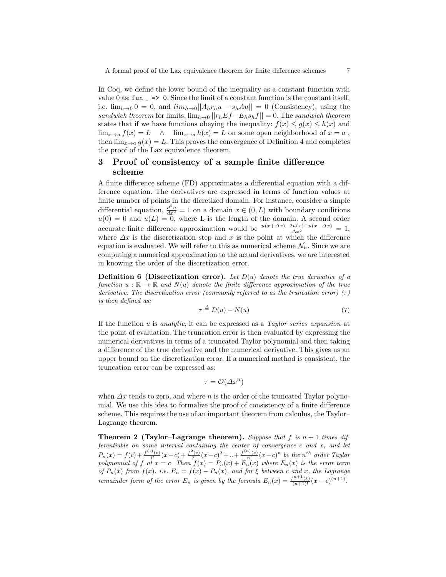In Coq, we define the lower bound of the inequality as a constant function with value 0 as:  $fun = \ge 0$ . Since the limit of a constant function is the constant itself, i.e.  $\lim_{h\to 0} 0 = 0$ , and  $\lim_{h\to 0} ||A_h r_h u - s_h Au|| = 0$  (Consistency), using the sandwich theorem for limits,  $\lim_{h\to 0} ||r_hEf - E_hs_hf|| = 0$ . The sandwich theorem states that if we have functions obeying the inequality:  $f(x) \leq g(x) \leq h(x)$  and  $\lim_{x\to a} f(x) = L \quad \wedge \quad \lim_{x\to a} h(x) = L$  on some open neighborhood of  $x = a$ , then  $\lim_{x\to a} g(x) = L$ . This proves the convergence of Definition 4 and completes the proof of the Lax equivalence theorem.

# 3 Proof of consistency of a sample finite difference scheme

A finite difference scheme (FD) approximates a differential equation with a difference equation. The derivatives are expressed in terms of function values at finite number of points in the dicretized domain. For instance, consider a simple differential equation,  $\frac{d^2u}{dx^2} = 1$  on a domain  $x \in (0, L)$  with boundary conditions  $u(0) = 0$  and  $u(L) = 0$ , where L is the length of the domain. A second order accurate finite difference approximation would be  $\frac{u(x+\Delta x)-2u(x)+u(x-\Delta x)}{\Delta x^2} = 1$ , where  $\Delta x$  is the discretization step and x is the point at which the difference equation is evaluated. We will refer to this as numerical scheme  $\mathcal{N}_h$ . Since we are computing a numerical approximation to the actual derivatives, we are interested in knowing the order of the discretization error.

**Definition 6 (Discretization error).** Let  $D(u)$  denote the true derivative of a function  $u : \mathbb{R} \to \mathbb{R}$  and  $N(u)$  denote the finite difference approximation of the true derivative. The discretization error (commonly referred to as the truncation error)  $(\tau)$ is then defined as:

$$
\tau \stackrel{\Delta}{=} D(u) - N(u) \tag{7}
$$

If the function  $u$  is *analytic*, it can be expressed as a *Taylor series expansion* at the point of evaluation. The truncation error is then evaluated by expressing the numerical derivatives in terms of a truncated Taylor polynomial and then taking a difference of the true derivative and the numerical derivative. This gives us an upper bound on the discretization error. If a numerical method is consistent, the truncation error can be expressed as:

$$
\tau = \mathcal{O}(\Delta x^n)
$$

when  $\Delta x$  tends to zero, and where n is the order of the truncated Taylor polynomial. We use this idea to formalize the proof of consistency of a finite difference scheme. This requires the use of an important theorem from calculus, the Taylor– Lagrange theorem.

**Theorem 2 (Taylor–Lagrange theorem).** Suppose that f is  $n + 1$  times differentiable on some interval containing the center of convergence c and x, and let  $P_n(x) = f(c) + \frac{f^{(1)}(c)}{1!}(x-c) + \frac{f^{(2)}(c)}{2!}(x-c)^2 + ... + \frac{f^{(n)}(c)}{n!}(x-c)^n$  be the n<sup>th</sup> order Taylor polynomial of f at  $x = c$ . Then  $f(x) = P_n(x) + E_n(x)$  where  $E_n(x)$  is the error term of  $P_n(x)$  from  $f(x)$ . i.e.  $E_n = f(x) - P_n(x)$ , and for  $\xi$  between c and x, the Lagrange remainder form of the error  $E_n$  is given by the formula  $E_n(x) = \frac{f^{n+1}(\xi)}{(n+1)!}(x-c)^{(n+1)}$ .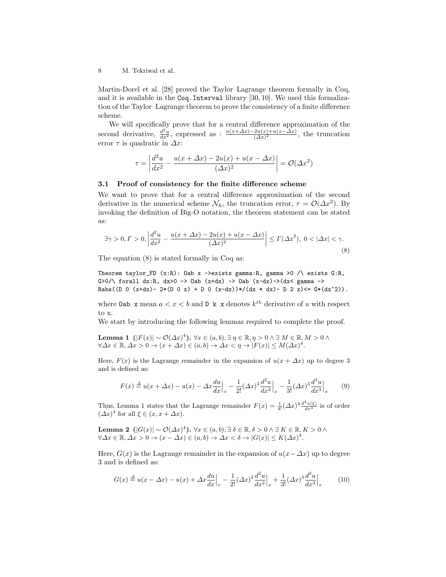Martin-Dorel et al. [28] proved the Taylor–Lagrange theorem formally in Coq, and it is available in the Coq.Interval library [30, 10]. We used this formalization of the Taylor–Lagrange theorem to prove the consistency of a finite difference scheme.

We will specifically prove that for a central difference approximation of the second derivative,  $\frac{d^2u}{dx^2}$ , expressed as :  $\frac{u(x+\Delta x)-2u(x)+u(x-\Delta x)}{(\Delta x)^2}$ , the truncation error  $\tau$  is quadratic in  $\Delta x$ :

$$
\tau = \left| \frac{d^2u}{dx^2} - \frac{u(x + \Delta x) - 2u(x) + u(x - \Delta x)}{(\Delta x)^2} \right| = \mathcal{O}(\Delta x^2)
$$

#### 3.1 Proof of consistency for the finite difference scheme

We want to prove that for a central difference approximation of the second derivative in the numerical scheme  $\mathcal{N}_h$ , the truncation error,  $\tau = \mathcal{O}(\Delta x^2)$ . By invoking the definition of Big-O notation, the theorem statement can be stated as:

$$
\exists \gamma > 0, \Gamma > 0, \left| \frac{d^2 u}{dx^2} - \frac{u(x + \Delta x) - 2u(x) + u(x - \Delta x)}{(\Delta x)^2} \right| \le \Gamma(\Delta x^2), \ 0 < |\Delta x| < \gamma. \tag{8}
$$

The equation (8) is stated formally in Coq as:

Theorem taylor\_FD (x:R): Oab x ->exists gamma:R, gamma >0 /\ exists G:R, G>0/\ forall dx:R, dx>0 -> Oab (x+dx) -> Oab (x-dx)->(dx< gamma -> Rabs((D 0 (x+dx)- 2\*(D 0 x) + D 0 (x-dx))\*/(dx \* dx)- D 2 x) <=  $G*(dx^2)$ ).

where **Oab** x mean  $a < x < b$  and **D** k x denotes  $k^{th}$  derivative of u with respect to x.

We start by introducing the following lemmas required to complete the proof.

Lemma 1  $(|F(x)| \sim \mathcal{O}(\Delta x)^4)$ .  $\forall x \in (a, b), \exists \eta \in \mathbb{R}, \eta > 0 \land \exists M \in \mathbb{R}, M > 0 \land$  $\forall \Delta x \in \mathbb{R}, \Delta x > 0 \rightarrow (x + \Delta x) \in (a, b) \rightarrow \Delta x < \eta \rightarrow |F(x)| \leq M(\Delta x)^4.$ 

Here,  $F(x)$  is the Lagrange remainder in the expansion of  $u(x + \Delta x)$  up to degree 3 and is defined as:

$$
F(x) \stackrel{\Delta}{=} u(x + \Delta x) - u(x) - \Delta x \frac{du}{dx}\Big|_{x} - \frac{1}{2!}(\Delta x)^{2} \frac{d^{2}u}{dx^{2}}\Big|_{x} - \frac{1}{3!}(\Delta x)^{3} \frac{d^{3}u}{dx^{3}}\Big|_{x}
$$
(9)

Thus, Lemma 1 states that the Lagrange remainder  $F(x) = \frac{1}{4!} (\Delta x)^4 \frac{d^4 u(\xi)}{dx^4}$  is of order  $(\Delta x)^4$  for all  $\xi \in (x, x + \Delta x)$ .

**Lemma 2**  $(|G(x)| \sim \mathcal{O}(\Delta x)^4)$ .  $\forall x \in (a, b), \exists \delta \in \mathbb{R}, \delta > 0 \land \exists K \in \mathbb{R}, K > 0 \land$  $\forall \Delta x \in \mathbb{R}, \Delta x > 0 \rightarrow (x - \Delta x) \in (a, b) \rightarrow \Delta x < \delta \rightarrow |G(x)| \leq K(\Delta x)^4.$ 

Here,  $G(x)$  is the Lagrange remainder in the expansion of  $u(x-\Delta x)$  up to degree 3 and is defined as:

$$
G(x) \stackrel{\Delta}{=} u(x - \Delta x) - u(x) + \Delta x \frac{du}{dx}\Big|_{x} - \frac{1}{2!}(\Delta x)^{2} \frac{d^{2}u}{dx^{2}}\Big|_{x} + \frac{1}{3!}(\Delta x)^{3} \frac{d^{3}u}{dx^{3}}\Big|_{x}
$$
(10)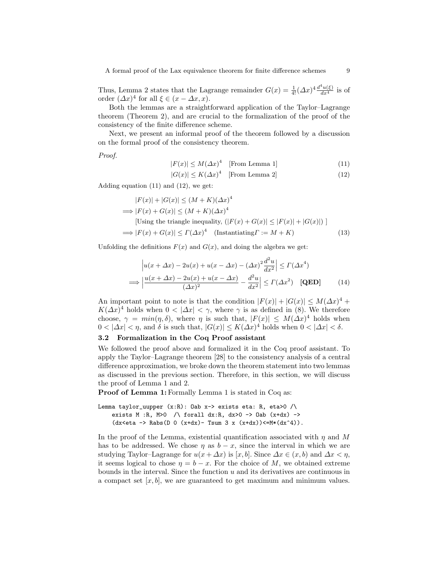Thus, Lemma 2 states that the Lagrange remainder  $G(x) = \frac{1}{4!} (\Delta x)^4 \frac{d^4 u(\xi)}{dx^4}$  is of order  $(\Delta x)^4$  for all  $\xi \in (x - \Delta x, x)$ .

Both the lemmas are a straightforward application of the Taylor–Lagrange theorem (Theorem 2), and are crucial to the formalization of the proof of the consistency of the finite difference scheme.

Next, we present an informal proof of the theorem followed by a discussion on the formal proof of the consistency theorem.

Proof.

$$
|F(x)| \le M(\Delta x)^4 \quad \text{[From Lemma 1]} \tag{11}
$$

$$
|G(x)| \le K(\Delta x)^4 \quad \text{[From Lemma 2]} \tag{12}
$$

Adding equation (11) and (12), we get:

$$
|F(x)| + |G(x)| \le (M + K)(\Delta x)^4
$$
  
\n
$$
\implies |F(x) + G(x)| \le (M + K)(\Delta x)^4
$$
  
\n[Using the triangle inequality,  $(|F(x) + G(x)| \le |F(x)| + |G(x)|)$ ]  
\n
$$
\implies |F(x) + G(x)| \le \Gamma(\Delta x)^4 \quad \text{(Instantiating } \Gamma := M + K)
$$
\n(13)

Unfolding the definitions  $F(x)$  and  $G(x)$ , and doing the algebra we get:

$$
\left| u(x + \Delta x) - 2u(x) + u(x - \Delta x) - (\Delta x)^2 \frac{d^2 u}{dx^2} \right| \le \Gamma(\Delta x^4)
$$
  

$$
\implies \left| \frac{u(x + \Delta x) - 2u(x) + u(x - \Delta x)}{(\Delta x)^2} - \frac{d^2 u}{dx^2} \right| \le \Gamma(\Delta x^2) \quad \text{[QED]} \tag{14}
$$

An important point to note is that the condition  $|F(x)| + |G(x)| \le M(\Delta x)^4 +$  $K(\Delta x)^4$  holds when  $0 < |\Delta x| < \gamma$ , where  $\gamma$  is as defined in (8). We therefore choose,  $\gamma = min(\eta, \delta)$ , where  $\eta$  is such that,  $|F(x)| \leq M(\Delta x)^4$  holds when  $0 < |\Delta x| < \eta$ , and  $\delta$  is such that,  $|G(x)| \leq K(\Delta x)^4$  holds when  $0 < |\Delta x| < \delta$ .

### 3.2 Formalization in the Coq Proof assistant

We followed the proof above and formalized it in the Coq proof assistant. To apply the Taylor–Lagrange theorem [28] to the consistency analysis of a central difference approximation, we broke down the theorem statement into two lemmas as discussed in the previous section. Therefore, in this section, we will discuss the proof of Lemma 1 and 2.

Proof of Lemma 1: Formally Lemma 1 is stated in Coq as:

### Lemma taylor\_uupper  $(x:R)$ : Oab x-> exists eta: R, eta>0 /\ exists M :R, M>0 / \ forall dx:R, dx>0 -> Oab  $(x+dx)$  ->  $(dx*eta* -> Rabs(D 0 (x+dx) - Tsum 3 x (x+dx))=M*(dx<sup>2</sup>4)).$

In the proof of the Lemma, existential quantification associated with  $\eta$  and M has to be addressed. We chose  $\eta$  as  $b - x$ , since the interval in which we are studying Taylor–Lagrange for  $u(x + \Delta x)$  is [x, b]. Since  $\Delta x \in (x, b)$  and  $\Delta x < \eta$ , it seems logical to chose  $\eta = b - x$ . For the choice of M, we obtained extreme bounds in the interval. Since the function  $u$  and its derivatives are continuous in a compact set  $[x, b]$ , we are guaranteed to get maximum and minimum values.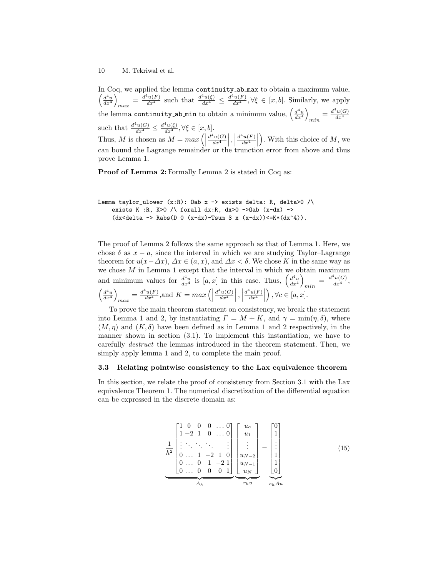In Coq, we applied the lemma continuity ab max to obtain a maximum value,  $\left(\frac{d^4u}{dx^4}\right)$  $\lim_{\text{max}} = \frac{d^4u(F)}{dx^4}$  such that  $\frac{d^4u(\xi)}{dx^4} \leq \frac{d^4u(F)}{dx^4}$ ,  $\forall \xi \in [x, b]$ . Similarly, we apply the lemma continuity ab min to obtain a minimum value,  $\left(\frac{d^4u}{dx^4}\right)$  $\lim_{min} = \frac{d^4u(G)}{dx^4}$  $dx^4$ such that  $\frac{d^4u(G)}{dx^4} \leq \frac{d^4u(\xi)}{dx^4}, \forall \xi \in [x, b].$ Thus, M is chosen as  $M = max \begin{pmatrix} 1 & 1 \\ 1 & 1 \end{pmatrix}$  $d^4u(G)$  $\left. \frac{du(G)}{dx^4} \right|$ ,  $d^4u(F)$  $\frac{u(F)}{dx^4}$ ). With this choice of  $M$ , we can bound the Lagrange remainder or the trunction error from above and thus prove Lemma 1.

Proof of Lemma 2: Formally Lemma 2 is stated in Coq as:

```
Lemma taylor_ulower (x:R): Oab x \rightarrow exists delta: R, delta>0 /\
     exists K :R, K>0 /\ forall dx:R, dx>0 ->Oab (x-dx) ->
     (dx <del>delta</del> -&gt; Rabs(D 0 (x-dx) - Tsum 3 x (x-dx)) <del>W</del> (dx<sup>2</sup>4)).
```
The proof of Lemma 2 follows the same approach as that of Lemma 1. Here, we chose  $\delta$  as  $x - a$ , since the interval in which we are studying Taylor–Lagrange theorem for  $u(x-\Delta x)$ ,  $\Delta x \in (a, x)$ , and  $\Delta x < \delta$ . We chose K in the same way as we chose  $M$  in Lemma 1 except that the interval in which we obtain maximum and minimum values for  $\frac{d^4u}{dx^4}$  is  $[a, x]$  in this case. Thus,  $\left(\frac{d^4u}{dx^4}\right)$  $\lim_{min} = \frac{d^4u(G)}{dx^4},$  $\left(\frac{d^4u}{dx^4}\right)$  $_{max} = \frac{d^4u(F)}{dx^4}$ , and  $K = max$  (  $d^4u(G)$  $\frac{d^4u(G)}{dx^4}\bigg|, \bigg|$  $d^4u(F)$  $\frac{d u(F)}{dx^4}$  $\big)$ ,  $\forall c \in [a, x].$ 

To prove the main theorem statement on consistency, we break the statement into Lemma 1 and 2, by instantiating  $\Gamma = M + K$ , and  $\gamma = \min(\eta, \delta)$ , where  $(M, \eta)$  and  $(K, \delta)$  have been defined as in Lemma 1 and 2 respectively, in the manner shown in section (3.1). To implement this instantiation, we have to carefully destruct the lemmas introduced in the theorem statement. Then, we simply apply lemma 1 and 2, to complete the main proof.

### 3.3 Relating pointwise consistency to the Lax equivalence theorem

In this section, we relate the proof of consistency from Section 3.1 with the Lax equivalence Theorem 1. The numerical discretization of the differential equation can be expressed in the discrete domain as:

$$
\frac{1}{h^2} \begin{bmatrix} 1 & 0 & 0 & 0 & \dots & 0 \\ 1 & -2 & 1 & 0 & \dots & 0 \\ \vdots & \ddots & \ddots & \ddots & & \vdots \\ 0 & \dots & 1 & -2 & 1 & 0 \\ 0 & \dots & 0 & 1 & -2 & 1 \\ 0 & \dots & 0 & 0 & 0 & 1 \end{bmatrix} \begin{bmatrix} u_o \\ u_1 \\ \vdots \\ u_{N-2} \\ u_N \end{bmatrix} = \begin{bmatrix} 0 \\ 1 \\ \vdots \\ 1 \\ 1 \\ 0 \end{bmatrix}
$$
(15)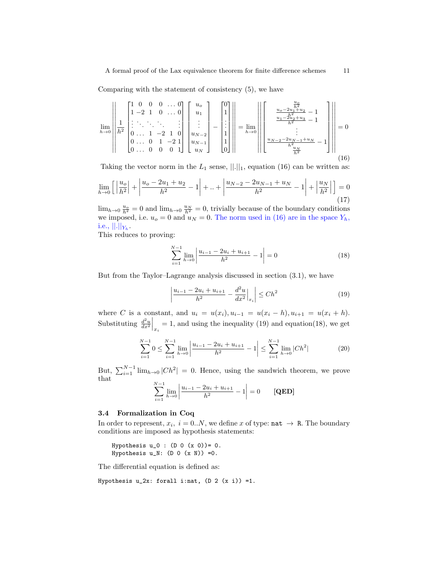Comparing with the statement of consistency (5), we have

$$
\lim_{h \to 0} \left\| \frac{1}{h^2} \begin{bmatrix} 1 & 0 & 0 & 0 & \dots & 0 \\ 1 & -2 & 1 & 0 & \dots & 0 \\ \vdots & \ddots & \ddots & \ddots & & \vdots \\ 0 & \dots & 1 & -2 & 1 & 0 \\ 0 & \dots & 0 & 1 & -2 & 1 \\ 0 & \dots & 0 & 0 & 0 & 1 \end{bmatrix} \begin{bmatrix} u_o \\ u_1 \\ \vdots \\ u_{N-2} \\ u_N \end{bmatrix} - \begin{bmatrix} 0 \\ 1 \\ \vdots \\ 1 \\ 0 \end{bmatrix} \right\| = \lim_{h \to 0} \left\| \begin{bmatrix} \frac{u_o - 2u_1 + u_2}{h^2} - 1 \\ \frac{u_1 - 2u_2 + u_3}{h^2} - 1 \\ \vdots \\ 0 \end{bmatrix} \right\|_{\frac{2}{h^2}} = 0
$$
\n
$$
\left\| \frac{u_{N-2} - 2u_{N-1} + u_N}{h^2} - 1 \right\|_{\frac{2}{h^2}} = 0
$$
\n
$$
(16)
$$

Taking the vector norm in the  $L_1$  sense,  $||.||_1$ , equation (16) can be written as:

$$
\lim_{h \to 0} \left[ \left| \frac{u_o}{h^2} \right| + \left| \frac{u_o - 2u_1 + u_2}{h^2} - 1 \right| + \ldots + \left| \frac{u_{N-2} - 2u_{N-1} + u_N}{h^2} - 1 \right| + \left| \frac{u_N}{h^2} \right| \right] = 0
$$
\n(17)

 $\lim_{h\to 0} \frac{u_o}{h^2} = 0$  and  $\lim_{h\to 0} \frac{u_N}{h^2} = 0$ , trivially because of the boundary conditions we imposed, i.e.  $u_o = 0$  and  $u_N = 0$ . The norm used in (16) are in the space  $Y_h$ , i.e.,  $||.||_{Y_h}.$ 

This reduces to proving:

$$
\sum_{i=1}^{N-1} \lim_{h \to 0} \left| \frac{u_{i-1} - 2u_i + u_{i+1}}{h^2} - 1 \right| = 0 \tag{18}
$$

But from the Taylor–Lagrange analysis discussed in section (3.1), we have

$$
\left| \frac{u_{i-1} - 2u_i + u_{i+1}}{h^2} - \frac{d^2 u}{dx^2} \right|_{x_i} \le C h^2 \tag{19}
$$

where C is a constant, and  $u_i = u(x_i), u_{i-1} = u(x_i - h), u_{i+1} = u(x_i + h)$ . Substituting  $\frac{d^2u}{dx^2}\Big|_{x_i} = 1$ , and using the inequality (19) and equation(18), we get

$$
\sum_{i=1}^{N-1} 0 \le \sum_{i=1}^{N-1} \lim_{h \to 0} \left| \frac{u_{i-1} - 2u_i + u_{i+1}}{h^2} - 1 \right| \le \sum_{i=1}^{N-1} \lim_{h \to 0} |Ch^2| \tag{20}
$$

But,  $\sum_{i=1}^{N-1} \lim_{h\to 0} |Ch^2| = 0$ . Hence, using the sandwich theorem, we prove that  $N$ 

$$
\sum_{i=1}^{N-1} \lim_{h \to 0} \left| \frac{u_{i-1} - 2u_i + u_{i+1}}{h^2} - 1 \right| = 0 \qquad [\text{QED}]
$$

### 3.4 Formalization in Coq

In order to represent,  $x_i$ ,  $i = 0..N$ , we define x of type: nat  $\rightarrow$  R. The boundary conditions are imposed as hypothesis statements:

Hypothesis  $u_0$ : (D 0 (x 0))= 0. Hypothesis  $u_N$ : (D 0 (x N)) =0.

The differential equation is defined as:

Hypothesis  $u_2x$ : forall i:nat,  $(D 2 (x i)) = 1$ .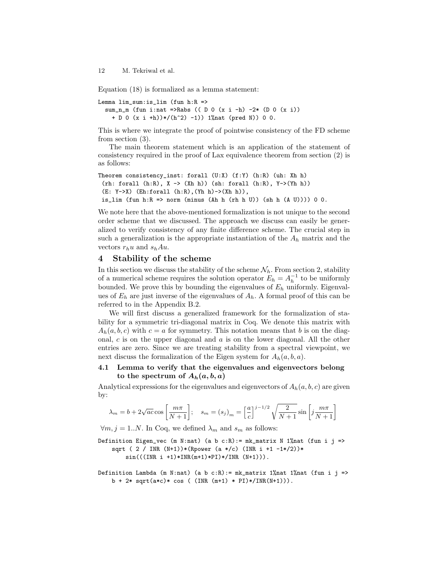Equation (18) is formalized as a lemma statement:

```
Lemma lim_sum:is_lim (fun h:R =>
  sum_n_m (fun i:nat =>Rabs (( D O (x i -h) -2* (D O (x i))+ D 0 (x i +h) \ast/(h<sup>2</sup>) -1)) 1%nat (pred N)) 0 0.
```
This is where we integrate the proof of pointwise consistency of the FD scheme from section (3).

The main theorem statement which is an application of the statement of consistency required in the proof of Lax equivalence theorem from section (2) is as follows:

```
Theorem consistency_inst: forall (U:X) (f:Y) (h:R) (uh: Xh h)
 (rh: forall (h:R), X \rightarrow (Xh h)) (sh: forall (h:R), Y \rightarrow (Yh h))
 (E: Y \rightarrow X) (Eh:forall (h:R), (Yh h) \rightarrow (Xh h)),
 is_lim (fun h:R => norm (minus (Ah h (rh h U)) (sh h (A U))) 0 0.
```
We note here that the above-mentioned formalization is not unique to the second order scheme that we discussed. The approach we discuss can easily be generalized to verify consistency of any finite difference scheme. The crucial step in such a generalization is the appropriate instantiation of the  $A_h$  matrix and the vectors  $r_h u$  and  $s_h A u$ .

## 4 Stability of the scheme

In this section we discuss the stability of the scheme  $\mathcal{N}_h$ . From section 2, stability of a numerical scheme requires the solution operator  $E_h = A_h^{-1}$  to be uniformly bounded. We prove this by bounding the eigenvalues of  $E<sub>h</sub>$  uniformly. Eigenvalues of  $E_h$  are just inverse of the eigenvalues of  $A_h$ . A formal proof of this can be referred to in the Appendix B.2.

We will first discuss a generalized framework for the formalization of stability for a symmetric tri-diagonal matrix in Coq. We denote this matrix with  $A_h(a, b, c)$  with  $c = a$  for symmetry. This notation means that b is on the diagonal,  $c$  is on the upper diagonal and  $a$  is on the lower diagonal. All the other entries are zero. Since we are treating stability from a spectral viewpoint, we next discuss the formalization of the Eigen system for  $A_h(a, b, a)$ .

# 4.1 Lemma to verify that the eigenvalues and eigenvectors belong to the spectrum of  $A_h(a, b, a)$

Analytical expressions for the eigenvalues and eigenvectors of  $A_h(a, b, c)$  are given by:

$$
\lambda_m = b + 2\sqrt{ac} \cos\left[\frac{m\pi}{N+1}\right]; \quad s_m = (s_j)_m = \left[\frac{a}{c}\right]^{j-1/2} \sqrt{\frac{2}{N+1}} \sin\left[j\frac{m\pi}{N+1}\right]
$$

 $\forall m, j = 1..N$ . In Coq, we defined  $\lambda_m$  and  $s_m$  as follows:

Definition Eigen\_vec (m N:nat) (a b c:R):= mk\_matrix N 1%nat (fun i j => sqrt ( 2 / INR  $(N+1))*(Rpower (a*/c) (INR i +1 -1*/2))*$  $sin(((INR i +1)*INR(m+1)*PI)*/INR (N+1))).$ 

Definition Lambda (m N:nat) (a b c:R):= mk\_matrix 1%nat 1%nat (fun i j =>  $b + 2* sqrt(a*c)* cos ((INR(m+1) * PI)*(INR(N+1))).$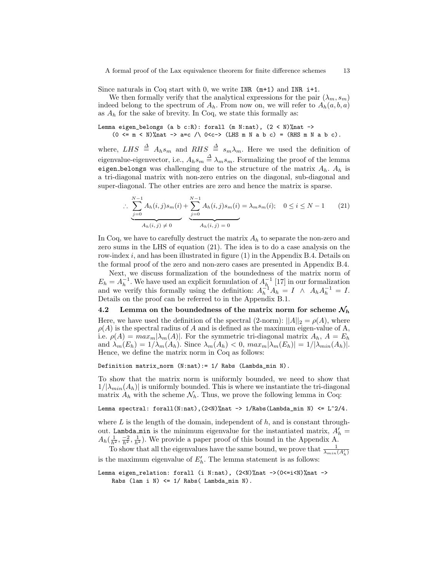Since naturals in Coq start with 0, we write INR  $(m+1)$  and INR i+1.

We then formally verify that the analytical expressions for the pair  $(\lambda_m, s_m)$ indeed belong to the spectrum of  $A_h$ . From now on, we will refer to  $A_h(a, b, a)$ as  $A_h$  for the sake of brevity. In Coq, we state this formally as:

Lemma eigen\_belongs (a b c:R): forall (m N:nat),  $(2 < N)$ %nat ->  $(0 \le m \le N)$ %nat -> a=c /\ 0<c-> (LHS m N a b c) = (RHS m N a b c).

where,  $LHS \stackrel{\Delta}{=} A_h s_m$  and  $RHS \stackrel{\Delta}{=} s_m \lambda_m$ . Here we used the definition of eigenvalue-eigenvector, i.e.,  $A_h s_m \stackrel{\Delta}{=} \lambda_m s_m$ . Formalizing the proof of the lemma eigen belongs was challenging due to the structure of the matrix  $A_h$ .  $A_h$  is a tri-diagonal matrix with non-zero entries on the diagonal, sub-diagonal and super-diagonal. The other entries are zero and hence the matrix is sparse.

$$
\therefore \sum_{j=0}^{N-1} A_h(i,j) s_m(i) + \sum_{j=0}^{N-1} A_h(i,j) s_m(i) = \lambda_m s_m(i); \quad 0 \le i \le N-1
$$
 (21)  

$$
A_h(i,j) \ne 0
$$
 
$$
A_h(i,j) = 0
$$

In Coq, we have to carefully destruct the matrix  $A<sub>h</sub>$  to separate the non-zero and zero sums in the LHS of equation (21). The idea is to do a case analysis on the row-index i, and has been illustrated in figure  $(1)$  in the Appendix B.4. Details on the formal proof of the zero and non-zero cases are presented in Appendix B.4.

Next, we discuss formalization of the boundedness of the matrix norm of  $E_h = A_h^{-1}$ . We have used an explicit formulation of  $A_h^{-1}$  [17] in our formalization and we verify this formally using the definition:  $A_h^{-1}A_h = I \wedge A_h A_h^{-1} = I$ . Details on the proof can be referred to in the Appendix B.1.

4.2 Lemma on the boundedness of the matrix norm for scheme  $\mathcal{N}_h$ Here, we have used the definition of the spectral (2-norm):  $||A||_2 = \rho(A)$ , where  $\rho(A)$  is the spectral radius of A and is defined as the maximum eigen-value of A, i.e.  $\rho(A) = max_m |\lambda_m(A)|$ . For the symmetric tri-diagonal matrix  $A_h$ ,  $A = E_h$ and  $\lambda_m(E_h) = 1/\lambda_m(A_h)$ . Since  $\lambda_m(A_h) < 0$ ,  $max_m |\lambda_m(E_h)| = 1/|\lambda_{min}(A_h)|$ . Hence, we define the matrix norm in Coq as follows:

Definition matrix\_norm (N:nat):= 1/ Rabs (Lambda\_min N).

To show that the matrix norm is uniformly bounded, we need to show that  $1/|\lambda_{min}(A_h)|$  is uniformly bounded. This is where we instantiate the tri-diagonal matrix  $A_h$  with the scheme  $\mathcal{N}_h$ . Thus, we prove the following lemma in Coq:

### Lemma spectral: forall(N:nat),(2<N)%nat -> 1/Rabs(Lambda\_min N) <=  $L^2/4$ .

where  $L$  is the length of the domain, independent of  $h$ , and is constant throughout. Lambda min is the minimum eigenvalue for the instantiated matrix,  $A'_h$  =  $A_h(\frac{1}{h^2}, \frac{-2}{h^2}, \frac{1}{h^2})$ . We provide a paper proof of this bound in the Appendix A.

To show that all the eigenvalues have the same bound, we prove that  $\frac{1}{\lambda_{min}(A_h')}$ is the maximum eigenvalue of  $E'_{h}$ . The lemma statement is as follows:

Lemma eigen\_relation: forall (i N:nat), (2<N)%nat ->(0<=i<N)%nat -> Rabs (lam i N) <= 1/ Rabs( Lambda\_min N).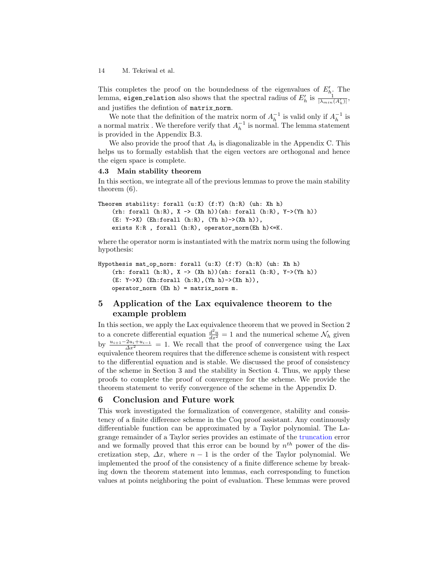This completes the proof on the boundedness of the eigenvalues of  $E'_{h}$ . The lemma, eigen\_relation also shows that the spectral radius of  $E'_h$  is  $\frac{1}{|\lambda_{min}(A'_h)|}$ , and justifies the defintion of matrix norm.

We note that the definition of the matrix norm of  $A_h^{-1}$  is valid only if  $A_h^{-1}$  is a normal matrix . We therefore verify that  $A_h^{-1}$  is normal. The lemma statement is provided in the Appendix B.3.

We also provide the proof that  $A_h$  is diagonalizable in the Appendix C. This helps us to formally establish that the eigen vectors are orthogonal and hence the eigen space is complete.

### 4.3 Main stability theorem

In this section, we integrate all of the previous lemmas to prove the main stability theorem (6).

```
Theorem stability: forall (u:X) (f:Y) (h:R) (uh: Xh h)
     (rh: for all (h:R), X \rightarrow (Xh h))(sh: for all (h:R), Y\rightarrow (Yh h))(E: Y \rightarrow X) (Eh:forall (h: R), (Yh h) \rightarrow (Xh h)),
    exists K:R , forall (h:R), operator_norm(Eh h)<=K.
```
where the operator norm is instantiated with the matrix norm using the following hypothesis:

```
Hypothesis mat_op_norm: forall (u:X) (f:Y) (h:R) (uh: Xh h)
     (rh: for all (h:R), X \rightarrow (Xh h))(sh: for all (h:R), Y\rightarrow (Yh h))(E: Y \rightarrow X) (Eh:forall (h: R), (Yh h) \rightarrow (Xh h)),
    operator_norm (Eh h) = matrix_norm m.
```
# 5 Application of the Lax equivalence theorem to the example problem

In this section, we apply the Lax equivalence theorem that we proved in Section 2 to a concrete differential equation  $\frac{d^2u}{dx^2} = 1$  and the numerical scheme  $\mathcal{N}_h$  given by  $\frac{u_{i+1}-2u_i+u_{i-1}}{\Delta x^2}=1$ . We recall that the proof of convergence using the Lax equivalence theorem requires that the difference scheme is consistent with respect to the differential equation and is stable. We discussed the proof of consistency of the scheme in Section 3 and the stability in Section 4. Thus, we apply these proofs to complete the proof of convergence for the scheme. We provide the theorem statement to verify convergence of the scheme in the Appendix D.

### 6 Conclusion and Future work

This work investigated the formalization of convergence, stability and consistency of a finite difference scheme in the Coq proof assistant. Any continuously differentiable function can be approximated by a Taylor polynomial. The Lagrange remainder of a Taylor series provides an estimate of the truncation error and we formally proved that this error can be bound by  $n^{th}$  power of the discretization step,  $\Delta x$ , where  $n-1$  is the order of the Taylor polynomial. We implemented the proof of the consistency of a finite difference scheme by breaking down the theorem statement into lemmas, each corresponding to function values at points neighboring the point of evaluation. These lemmas were proved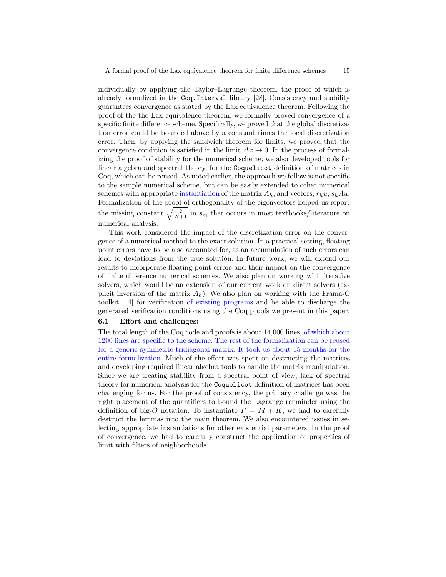individually by applying the Taylor–Lagrange theorem, the proof of which is already formalized in the Coq.Interval library [28]. Consistency and stability guarantees convergence as stated by the Lax equivalence theorem. Following the proof of the the Lax equivalence theorem, we formally proved convergence of a specific finite difference scheme. Specifically, we proved that the global discretization error could be bounded above by a constant times the local discretization error. Then, by applying the sandwich theorem for limits, we proved that the convergence condition is satisfied in the limit  $\Delta x \to 0$ . In the process of formalizing the proof of stability for the numerical scheme, we also developed tools for linear algebra and spectral theory, for the Coquelicot definition of matrices in Coq, which can be reused. As noted earlier, the approach we follow is not specific to the sample numerical scheme, but can be easily extended to other numerical schemes with appropriate instantiation of the matrix  $A_h$ , and vectors,  $r_h u$ ,  $s_h Au$ . Formalization of the proof of orthogonality of the eigenvectors helped us report the missing constant  $\sqrt{\frac{2}{N+1}}$  in  $s_m$  that occurs in most textbooks/literature on numerical analysis.

This work considered the impact of the discretization error on the convergence of a numerical method to the exact solution. In a practical setting, floating point errors have to be also accounted for, as an accumulation of such errors can lead to deviations from the true solution. In future work, we will extend our results to incorporate floating point errors and their impact on the convergence of finite difference numerical schemes. We also plan on working with iterative solvers, which would be an extension of our current work on direct solvers (explicit inversion of the matrix  $A_h$ ). We also plan on working with the Frama-C toolkit [14] for verification of existing programs and be able to discharge the generated verification conditions using the Coq proofs we present in this paper.

### 6.1 Effort and challenges:

The total length of the Coq code and proofs is about 14,000 lines, of which about 1200 lines are specific to the scheme. The rest of the formalization can be reused for a generic symmetric tridiagonal matrix. It took us about 15 months for the entire formalization. Much of the effort was spent on destructing the matrices and developing required linear algebra tools to handle the matrix manipulation. Since we are treating stability from a spectral point of view, lack of spectral theory for numerical analysis for the Coquelicot definition of matrices has been challenging for us. For the proof of consistency, the primary challenge was the right placement of the quantifiers to bound the Lagrange remainder using the definition of big-O notation. To instantiate  $\Gamma = M + K$ , we had to carefully destruct the lemmas into the main theorem. We also encountered issues in selecting appropriate instantiations for other existential parameters. In the proof of convergence, we had to carefully construct the application of properties of limit with filters of neighborhoods.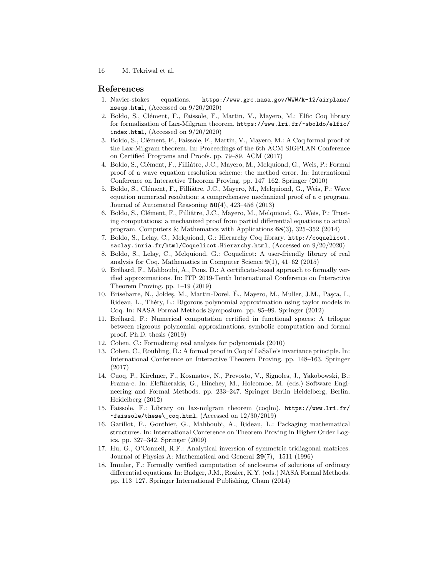### References

- 1. Navier-stokes equations. https://www.grc.nasa.gov/WWW/k-12/airplane/ nseqs.html, (Accessed on 9/20/2020)
- 2. Boldo, S., Clément, F., Faissole, F., Martin, V., Mayero, M.: Elfic Coq library for formalization of Lax-Milgram theorem. https://www.lri.fr/~sboldo/elfic/ index.html, (Accessed on 9/20/2020)
- 3. Boldo, S., Clément, F., Faissole, F., Martin, V., Mayero, M.: A Coq formal proof of the Lax-Milgram theorem. In: Proceedings of the 6th ACM SIGPLAN Conference on Certified Programs and Proofs. pp. 79–89. ACM (2017)
- 4. Boldo, S., Clément, F., Filliâtre, J.C., Mayero, M., Melquiond, G., Weis, P.: Formal proof of a wave equation resolution scheme: the method error. In: International Conference on Interactive Theorem Proving. pp. 147–162. Springer (2010)
- 5. Boldo, S., Clément, F., Filliâtre, J.C., Mayero, M., Melquiond, G., Weis, P.: Wave equation numerical resolution: a comprehensive mechanized proof of a c program. Journal of Automated Reasoning  $50(4)$ , 423-456 (2013)
- 6. Boldo, S., Clément, F., Filliâtre, J.C., Mayero, M., Melquiond, G., Weis, P.: Trusting computations: a mechanized proof from partial differential equations to actual program. Computers & Mathematics with Applications 68(3), 325–352 (2014)
- 7. Boldo, S., Lelay, C., Melquiond, G.: Hierarchy Coq library. http://coquelicot. saclay.inria.fr/html/Coquelicot.Hierarchy.html, (Accessed on 9/20/2020)
- 8. Boldo, S., Lelay, C., Melquiond, G.: Coquelicot: A user-friendly library of real analysis for Coq. Mathematics in Computer Science 9(1), 41–62 (2015)
- 9. Bréhard, F., Mahboubi, A., Pous, D.: A certificate-based approach to formally verified approximations. In: ITP 2019-Tenth International Conference on Interactive Theorem Proving. pp. 1–19 (2019)
- 10. Brisebarre, N., Joldes, M., Martin-Dorel, É., Mayero, M., Muller, J.M., Paşca, I., Rideau, L., Théry, L.: Rigorous polynomial approximation using taylor models in Coq. In: NASA Formal Methods Symposium. pp. 85–99. Springer (2012)
- 11. Br´ehard, F.: Numerical computation certified in functional spaces: A trilogue between rigorous polynomial approximations, symbolic computation and formal proof. Ph.D. thesis (2019)
- 12. Cohen, C.: Formalizing real analysis for polynomials (2010)
- 13. Cohen, C., Rouhling, D.: A formal proof in Coq of LaSalle's invariance principle. In: International Conference on Interactive Theorem Proving. pp. 148–163. Springer (2017)
- 14. Cuoq, P., Kirchner, F., Kosmatov, N., Prevosto, V., Signoles, J., Yakobowski, B.: Frama-c. In: Eleftherakis, G., Hinchey, M., Holcombe, M. (eds.) Software Engineering and Formal Methods. pp. 233–247. Springer Berlin Heidelberg, Berlin, Heidelberg (2012)
- 15. Faissole, F.: Library on lax-milgram theorem (coqlm). https://www.lri.fr/ ~faissole/these\\_coq.html, (Accessed on 12/30/2019)
- 16. Garillot, F., Gonthier, G., Mahboubi, A., Rideau, L.: Packaging mathematical structures. In: International Conference on Theorem Proving in Higher Order Logics. pp. 327–342. Springer (2009)
- 17. Hu, G., O'Connell, R.F.: Analytical inversion of symmetric tridiagonal matrices. Journal of Physics A: Mathematical and General 29(7), 1511 (1996)
- 18. Immler, F.: Formally verified computation of enclosures of solutions of ordinary differential equations. In: Badger, J.M., Rozier, K.Y. (eds.) NASA Formal Methods. pp. 113–127. Springer International Publishing, Cham (2014)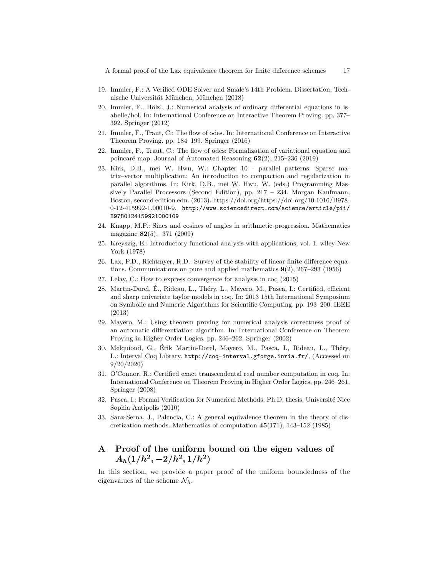- 19. Immler, F.: A Verified ODE Solver and Smale's 14th Problem. Dissertation, Technische Universität München, München (2018)
- 20. Immler, F., Hölzl, J.: Numerical analysis of ordinary differential equations in isabelle/hol. In: International Conference on Interactive Theorem Proving. pp. 377– 392. Springer (2012)
- 21. Immler, F., Traut, C.: The flow of odes. In: International Conference on Interactive Theorem Proving. pp. 184–199. Springer (2016)
- 22. Immler, F., Traut, C.: The flow of odes: Formalization of variational equation and poincaré map. Journal of Automated Reasoning  $62(2)$ , 215–236 (2019)
- 23. Kirk, D.B., mei W. Hwu, W.: Chapter 10 parallel patterns: Sparse matrix–vector multiplication: An introduction to compaction and regularization in parallel algorithms. In: Kirk, D.B., mei W. Hwu, W. (eds.) Programming Massively Parallel Processors (Second Edition), pp. 217 – 234. Morgan Kaufmann, Boston, second edition edn. (2013). https://doi.org/https://doi.org/10.1016/B978- 0-12-415992-1.00010-9, http://www.sciencedirect.com/science/article/pii/ B9780124159921000109
- 24. Knapp, M.P.: Sines and cosines of angles in arithmetic progression. Mathematics magazine 82(5), 371 (2009)
- 25. Kreyszig, E.: Introductory functional analysis with applications, vol. 1. wiley New York (1978)
- 26. Lax, P.D., Richtmyer, R.D.: Survey of the stability of linear finite difference equations. Communications on pure and applied mathematics  $9(2)$ ,  $267-293$  (1956)
- 27. Lelay, C.: How to express convergence for analysis in coq (2015)
- 28. Martin-Dorel, É., Rideau, L., Théry, L., Mayero, M., Pasca, I.: Certified, efficient and sharp univariate taylor models in coq. In: 2013 15th International Symposium on Symbolic and Numeric Algorithms for Scientific Computing. pp. 193–200. IEEE (2013)
- 29. Mayero, M.: Using theorem proving for numerical analysis correctness proof of an automatic differentiation algorithm. In: International Conference on Theorem Proving in Higher Order Logics. pp. 246–262. Springer (2002)
- 30. Melquiond, G., Érik Martin-Dorel, Mayero, M., Pasca, I., Rideau, L., Théry, L.: Interval Coq Library. http://coq-interval.gforge.inria.fr/, (Accessed on 9/20/2020)
- 31. O'Connor, R.: Certified exact transcendental real number computation in coq. In: International Conference on Theorem Proving in Higher Order Logics. pp. 246–261. Springer (2008)
- 32. Pasca, I.: Formal Verification for Numerical Methods. Ph.D. thesis, Université Nice Sophia Antipolis (2010)
- 33. Sanz-Serna, J., Palencia, C.: A general equivalence theorem in the theory of discretization methods. Mathematics of computation 45(171), 143–152 (1985)

# A Proof of the uniform bound on the eigen values of  $A_h(1/h^2,-2/h^2,1/h^2)$

In this section, we provide a paper proof of the uniform boundedness of the eigenvalues of the scheme  $\mathcal{N}_h$ .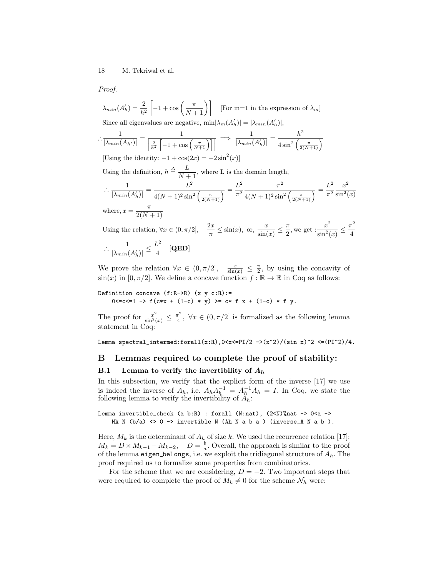Proof.

 $\lambda_{min}(A'_h) = \frac{2}{h^2}$  $\left[-1+\cos\left(\frac{\pi}{N+1}\right)\right]$  [For m=1 in the expression of  $\lambda_m$ ] Since all eigenvalues are negative,  $\min[\lambda_m(A'_h)] = |\lambda_{min}(A'_h)|$ ,  $\cdot \frac{1}{\cdots}$  $\frac{1}{|\lambda_{min}(A_{h'})|} = \frac{1}{\left|\frac{2}{\sqrt{2}}\right| - 1 + c_0}$   $\frac{2}{h^2}\left[-1+\cos\left(\frac{\pi}{N+1}\right)\right]$  $\Rightarrow \frac{1}{1}$  $\frac{1}{|\lambda_{min}(A_h')|} = \frac{h^2}{4\sin^2\left(\frac{h^2}{2}\right)}$  $4\sin^2\left(\frac{\pi}{2(N+1)}\right)$ [Using the identity:  $-1 + \cos(2x) = -2\sin^2(x)$ ] Using the definition,  $h \stackrel{\Delta}{=} \frac{L}{N}$  $\frac{E}{N+1}$ , where L is the domain length, ∴ 1  $\frac{1}{|\lambda_{min}(A_h')|} = \frac{L^2}{4(N+1)^2 \sin{\theta}}$  $\frac{L^2}{4(N+1)^2\sin^2\left(\frac{\pi}{2(N+1)}\right)} = \frac{L^2}{\pi^2}$  $\pi^2$  $\pi^2$  $\frac{\pi^2}{4(N+1)^2\sin^2\left(\frac{\pi}{2(N+1)}\right)} = \frac{L^2}{\pi^2}$  $\pi^2$  $x^2$  $\sin^2(x)$ where,  $x = \frac{\pi}{2\sqrt{N}}$  $2(N + 1)$ Using the relation,  $\forall x \in (0, \pi/2], \quad \frac{2x}{\pi}$  $\frac{2x}{\pi} \leq \sin(x)$ , or,  $\frac{x}{\sin(x)}$  $\frac{x}{\sin(x)} \leq \frac{\pi}{2}$  $\frac{\pi}{2}$ , we get  $:\frac{x^2}{\sin^2(x)}$  $rac{x^2}{\sin^2(x)} \leq \frac{\pi^2}{4}$ 4  $\cdot \frac{1}{1}$  $\frac{1}{|\lambda_{min}(A_h')|} \leq \frac{L^2}{4}$  $\frac{1}{4}$  [QED]

We prove the relation  $\forall x \in (0, \pi/2], \quad \frac{x}{\sin(x)} \leq \frac{\pi}{2}$ , by using the concavity of  $\sin(x)$  in  $[0, \pi/2]$ . We define a concave function  $f : \mathbb{R} \to \mathbb{R}$  in Coq as follows:

Definition concave  $(f:R->R)$   $(x \ y \ c:R) :=$  $0 \le c \le 1 \implies f(c*x + (1-c) * y) \ge c * f x + (1-c) * f y.$ 

The proof for  $\frac{x^2}{\sin^2(x)} \leq \frac{\pi^2}{4}$  $\frac{\tau^2}{4}$ ,  $\forall x \in (0, \pi/2]$  is formalized as the following lemma statement in Coq:

Lemma spectral\_intermed:forall(x:R),0<x<=PI/2 ->(x^2)/(sin x)^2 <=(PI^2)/4.

# B Lemmas required to complete the proof of stability:

### B.1 Lemma to verify the invertibility of  $A_h$

In this subsection, we verify that the explicit form of the inverse [17] we use is indeed the inverse of  $A_h$ , i.e.  $A_h A_h^{-1} = A_h^{-1} A_h = I$ . In Coq, we state the following lemma to verify the invertibility of  $\ddot{A}_h$ :

Lemma invertible\_check (a b:R) : forall  $(N:nat)$ ,  $(2\langle N)\rangle$ nat -> 0<a -> Mk N  $(b/a)$  <> 0 -> invertible N  $(Ah N a b a)$  (inverse\_A N a b ).

Here,  $M_k$  is the determinant of  $A_h$  of size k. We used the recurrence relation [17]:  $M_k = D \times M_{k-1} - M_{k-2}$ ,  $D = \frac{b}{a}$ . Overall, the approach is similar to the proof of the lemma eigen belongs, i.e. we exploit the tridiagonal structure of  $A<sub>h</sub>$ . The proof required us to formalize some properties from combinatorics.

For the scheme that we are considering,  $D = -2$ . Two important steps that were required to complete the proof of  $M_k \neq 0$  for the scheme  $\mathcal{N}_h$  were: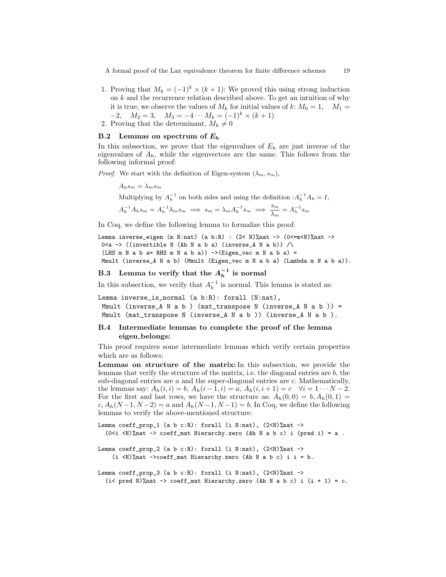- 1. Proving that  $M_k = (-1)^k \times (k+1)$ : We proved this using strong induction on  $k$  and the recurrence relation described above. To get an intuition of why it is true, we observe the values of  $M_k$  for initial values of k:  $M_0 = 1$ ,  $M_1 =$  $-2$ ,  $M_2 = 3$ ,  $M_3 = -4 \cdots M_k = (-1)^k \times (k+1)$
- 2. Proving that the determinant,  $M_k \neq 0$

# B.2 Lemmas on spectrum of  $E_h$

In this subsection, we prove that the eigenvalues of  $E_h$  are just inverse of the eigenvalues of  $A_h$ , while the eigenvectors are the same. This follows from the following informal proof:

*Proof.* We start with the definition of Eigen-system  $(\lambda_m, s_m)$ ,

 $A_h s_m = \lambda_m s_m$ 

Multiplying by  $A_h^{-1}$  on both sides and using the definition  $:A_h^{-1}A_h = I$ ,

$$
A_h^{-1}A_h s_m = A_h^{-1}\lambda_m s_m \implies s_m = \lambda_m A_h^{-1} s_m \implies \frac{s_m}{\lambda_m} = A_h^{-1} s_m
$$

In Coq, we define the following lemma to formalize this proof:

```
Lemma inverse_eigen (m N:nat) (a b:R) : (2< N)%nat -> (0<=m<N)%nat ->
 0<a -> ((invertible N (Ah N a b a) (inverse_A N a b)) /\backslash(LHS m N a b a= RHS m N a b a)) \rightarrow (Eigen_vec m N a b a) =
 Mmult (inverse_A N a b) (Mmult (Eigen_vec m N a b a) (Lambda m N a b a)).
```
# B.3 Lemma to verify that the  $A_h^{-1}$  is normal

In this subsection, we verify that  $A_h^{-1}$  is normal. This lemma is stated as:

```
Lemma inverse_is_normal (a b:R): forall (N:nat),
Mmult (inverse_A N a b ) (mat_transpose N (inverse_A N a b )) =
Mmult (mat_transpose N (inverse_A N a b )) (inverse_A N a b ).
```
### B.4 Intermediate lemmas to complete the proof of the lemma eigen belongs:

This proof requires some intermediate lemmas which verify certain properties which are as follows:

Lemmas on structure of the matrix: In this subsection, we provide the lemmas that verify the structure of the matrix, i.e. the diagonal entries are  $b$ , the sub-diagonal entries are  $a$  and the super-diagonal entries are  $c$ . Mathematically, the lemmas say:  $A_h(i, i) = b, A_h(i - 1, i) = a, A_h(i, i + 1) = c \quad \forall i = 1 \cdots N - 2.$ For the first and last rows, we have the structure as:  $A_h(0,0) = b, A_h(0,1) =$  $c, A_h(N-1, N-2) = a$  and  $A_h(N-1, N-1) = b$ . In Coq, we define the following lemmas to verify the above-mentioned structure:

```
Lemma coeff_prop_1 (a b c:R): forall (i N:nat), (2\langle N\rangle)%nat ->
  (0<i <N)%nat -> coeff_mat Hierarchy.zero (Ah N a b c) i (pred i) = a.
Lemma coeff_prop_2 (a b c:R): forall (i N:nat), (2\langle N\rangle)_n^{\ell}nat ->
    (i \leq N)%nat ->coeff_mat Hierarchy.zero (Ah N a b c) i i = b.
Lemma coeff_prop_3 (a b c:R): forall (i N:nat), (2\langle N\rangle)%nat ->
```

```
(i< pred N)%nat -> coeff_mat Hierarchy.zero (Ah N a b c) i (i + 1) = c.
```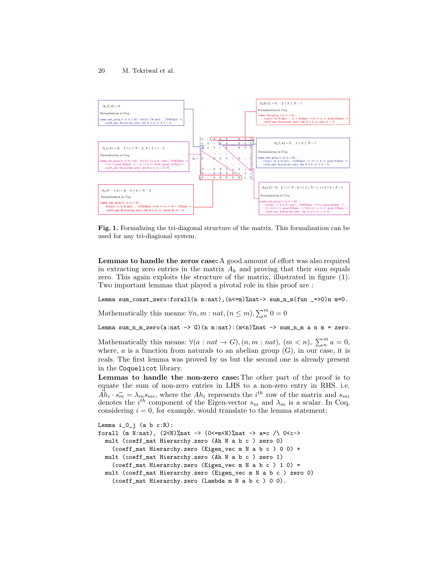

Fig. 1. Formalizing the tri-diagonal structure of the matrix. This formalization can be used for any tri-diagional system.

Lemmas to handle the zeros case: A good amount of effort was also required in extracting zero entries in the matrix  $A_h$  and proving that their sum equals zero. This again exploits the structure of the matrix, illustrated in figure (1). Two important lemmas that played a pivotal role in this proof are :

Lemma sum\_const\_zero:forall(n m:nat),(n<=m)%nat-> sum\_n\_m(fun \_=>0)n m=0.

Mathematically this means:  $\forall n, m : nat, (n \leq m), \sum_{n=0}^m 0 = 0$ 

Lemma sum\_n\_m\_zero(a:nat -> G)(n m:nat): $(m\le n)$ %nat -> sum\_n\_m a n m = zero.

Mathematically this means:  $\forall (a : nat \rightarrow G), (n,m : nat), (m < n), \sum_{n=1}^m a = 0,$ where,  $a$  is a function from naturals to an abelian group  $(G)$ , in our case, it is reals. The first lemma was proved by us but the second one is already present in the Coquelicot library.

Lemmas to handle the non-zero case: The other part of the proof is to equate the sum of non-zero entries in LHS to a non-zero entry in RHS. i.e.  $\vec{Ah}_i \cdot \vec{s_m} = \lambda_m s_{mi}$ , where the  $Ah_i$  represents the  $i^{th}$  row of the matrix and  $s_{mi}$ denotes the  $i^{th}$  component of the Eigen-vector  $s_m$  and  $\lambda_m$  is a scalar. In Coq, considering  $i = 0$ , for example, would translate to the lemma statement:

```
Lemma i_0_j (a b c:R):
forall (m N:nat), (2\langle N\rangle)''nat -> (0\langle N\rangle)''nat -> a=c /\ 0<c->
 mult (coeff_mat Hierarchy.zero (Ah N a b c ) zero 0)
    (coeff_mat Hierarchy.zero (Eigen_vec m N a b c ) 0 0) +
 mult (coeff_mat Hierarchy.zero (Ah N a b c ) zero 1)
    (coeff_mat Hierarchy.zero (Eigen_vec m N a b c ) 1 0) =
  mult (coeff_mat Hierarchy.zero (Eigen_vec m N a b c ) zero 0)
    (coeff_mat Hierarchy.zero (Lambda m N a b c ) 0 0).
```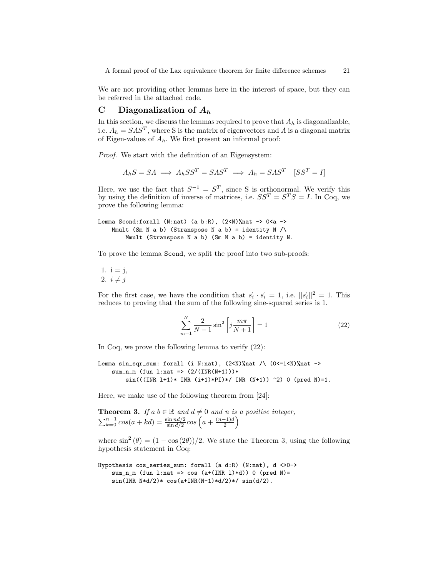We are not providing other lemmas here in the interest of space, but they can be referred in the attached code.

# C Diagonalization of  $A_h$

In this section, we discuss the lemmas required to prove that  $A_h$  is diagonalizable, i.e.  $A_h = SAS^T$ , where S is the matrix of eigenvectors and  $\Lambda$  is a diagonal matrix of Eigen-values of  $A_h$ . We first present an informal proof:

Proof. We start with the definition of an Eigensystem:

$$
A_h S = S A \implies A_h S S^T = S A S^T \implies A_h = S A S^T \quad [S S^T = I]
$$

Here, we use the fact that  $S^{-1} = S^T$ , since S is orthonormal. We verify this by using the definition of inverse of matrices, i.e.  $SS^T = S^T S = I$ . In Coq, we prove the following lemma:

```
Lemma Scond:forall (N:nat) (a b:R), (2\langle N)\rangle_{n}nat -> 0<a ->
    Mmult (Sm N a b) (Stranspose N a b) = identity N /\backslashMmult (Stranspose N a b) (Sm N a b) = identity N.
```
To prove the lemma Scond, we split the proof into two sub-proofs:

1.  $i = j$ , 2.  $i \neq j$ 

For the first case, we have the condition that  $\vec{s}_i \cdot \vec{s}_i = 1$ , i.e.  $||\vec{s}_i||^2 = 1$ . This reduces to proving that the sum of the following sine-squared series is 1.

$$
\sum_{m=1}^{N} \frac{2}{N+1} \sin^2 \left[ j \frac{m\pi}{N+1} \right] = 1
$$
\n(22)

In Coq, we prove the following lemma to verify (22):

```
Lemma \sin_{\text{sqr\_sum}}: forall (i N:nat), (2<N)%nat /\ (0<=i<N)%nat ->
    sum_n_m (fun l:nat => (2/(\text{INR}(N+1)))*
        sin(((INR 1+1)* INR (i+1)*PI)*/ INR (N+1)) ^2) 0 (pred N)=1.
```
Here, we make use of the following theorem from [24]:

**Theorem 3.** If  $a \, b \in \mathbb{R}$  and  $d \neq 0$  and n is a positive integer,  $\sum_{k=0}^{n-1} \cos(a + kd) = \frac{\sin nd/2}{\sin d/2} \cos \left(a + \frac{(n-1)d}{2}\right)$  $\left(\frac{-1}{2}\right)^d$ 

where  $\sin^2(\theta) = (1 - \cos(2\theta))/2$ . We state the Theorem 3, using the following hypothesis statement in Coq:

```
Hypothesis cos_series_sum: forall (a d:R) (N:nat), d <>0->
    sum_n_m (fun l:nat => cos (a+(INR l)*d)) 0 (pred N)=
    sin(INR N*d/2)* cos(a+INR(N-1)*d/2)*/ sin(d/2).
```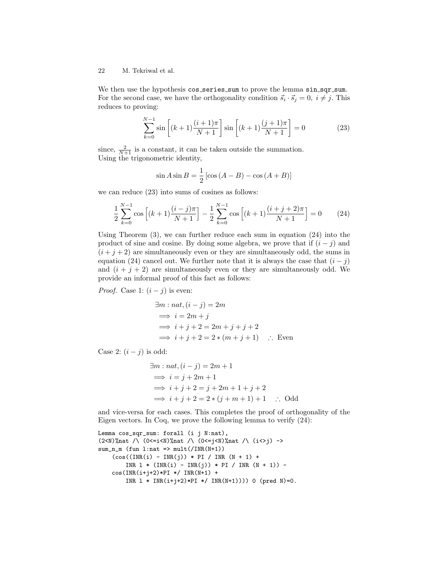We then use the hypothesis cos\_series\_sum to prove the lemma sin\_sqr\_sum. For the second case, we have the orthogonality condition  $\vec{s}_i \cdot \vec{s}_j = 0, i \neq j$ . This reduces to proving:

$$
\sum_{k=0}^{N-1} \sin\left[ (k+1)\frac{(i+1)\pi}{N+1} \right] \sin\left[ (k+1)\frac{(j+1)\pi}{N+1} \right] = 0 \tag{23}
$$

since,  $\frac{2}{N+1}$  is a constant, it can be taken outside the summation. Using the trigonometric identity,

$$
\sin A \sin B = \frac{1}{2} [\cos (A - B) - \cos (A + B)]
$$

we can reduce (23) into sums of cosines as follows:

$$
\frac{1}{2} \sum_{k=0}^{N-1} \cos \left[ (k+1) \frac{(i-j)\pi}{N+1} \right] - \frac{1}{2} \sum_{k=0}^{N-1} \cos \left[ (k+1) \frac{(i+j+2)\pi}{N+1} \right] = 0 \tag{24}
$$

Using Theorem (3), we can further reduce each sum in equation (24) into the product of sine and cosine. By doing some algebra, we prove that if  $(i - j)$  and  $(i + j + 2)$  are simultaneously even or they are simultaneously odd, the sums in equation (24) cancel out. We further note that it is always the case that  $(i - j)$ and  $(i + j + 2)$  are simultaneously even or they are simultaneously odd. We provide an informal proof of this fact as follows:

*Proof.* Case 1:  $(i - j)$  is even:

$$
\exists m : nat, (i - j) = 2m
$$
  
\n
$$
\implies i = 2m + j
$$
  
\n
$$
\implies i + j + 2 = 2m + j + j + 2
$$
  
\n
$$
\implies i + j + 2 = 2 * (m + j + 1) \quad \therefore \text{ Even}
$$

Case 2:  $(i - j)$  is odd:

$$
\exists m : nat, (i - j) = 2m + 1
$$
  
\n
$$
\implies i = j + 2m + 1
$$
  
\n
$$
\implies i + j + 2 = j + 2m + 1 + j + 2
$$
  
\n
$$
\implies i + j + 2 = 2 * (j + m + 1) + 1 \quad \therefore \text{ Odd}
$$

and vice-versa for each cases. This completes the proof of orthogonality of the Eigen vectors. In Coq, we prove the following lemma to verify (24):

```
Lemma cos_sqr_sum: forall (i j N:nat),
(2<N)%nat /\ (0<=i<N)%nat /\ (0<=j<N)%nat /\ (i<>j) ->
sum_n_m (fun l:nat => mult (/INR(N+1))
    (cos((INR(i) - INR(j)) * PI / INR (N + 1) +INR 1 * (INR(i) - INR(j)) * PI / INR (N + 1)) -cos(INR(i+j+2)*PI * / INR(N+1) +INR 1 * INR(i+j+2)*PI * / INR(N+1))) 0 (pred N)=0.
```